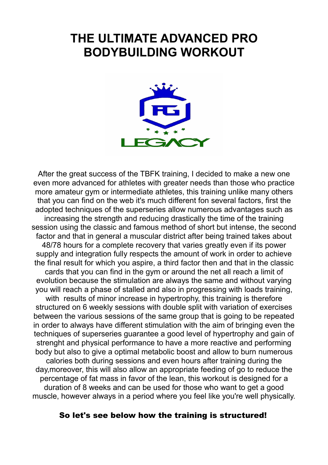# **THE ULTIMATE ADVANCED PRO BODYBUILDING WORKOUT**



After the great success of the TBFK training, I decided to make a new one even more advanced for athletes with greater needs than those who practice more amateur gym or intermediate athletes, this training unlike many others that you can find on the web it's much different fon several factors, first the adopted techniques of the superseries allow numerous advantages such as increasing the strength and reducing drastically the time of the training session using the classic and famous method of short but intense, the second factor and that in general a muscular district after being trained takes about 48/78 hours for a complete recovery that varies greatly even if its power supply and integration fully respects the amount of work in order to achieve the final result for which you aspire, a third factor then and that in the classic cards that you can find in the gym or around the net all reach a limit of evolution because the stimulation are always the same and without varying you will reach a phase of stalled and also in progressing with loads training, with results of minor increase in hypertrophy, this training is therefore structured on 6 weekly sessions with double split with variation of exercises between the various sessions of the same group that is going to be repeated in order to always have different stimulation with the aim of bringing even the techniques of superseries guarantee a good level of hypertrophy and gain of strenght and physical performance to have a more reactive and performing body but also to give a optimal metabolic boost and allow to burn numerous calories both during sessions and even hours after training during the day,moreover, this will also allow an appropriate feeding of go to reduce the percentage of fat mass in favor of the lean, this workout is designed for a duration of 8 weeks and can be used for those who want to get a good muscle, however always in a period where you feel like you're well physically.

### So let's see below how the training is structured!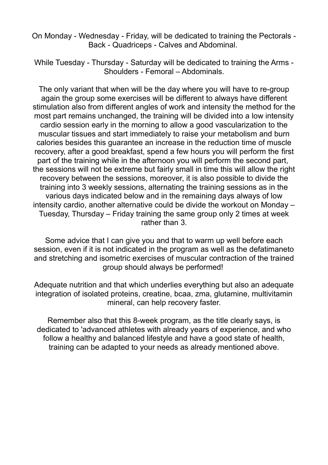On Monday - Wednesday - Friday, will be dedicated to training the Pectorals - Back - Quadriceps - Calves and Abdominal.

While Tuesday - Thursday - Saturday will be dedicated to training the Arms - Shoulders - Femoral – Abdominals.

The only variant that when will be the day where you will have to re-group again the group some exercises will be different to always have different stimulation also from different angles of work and intensity the method for the most part remains unchanged, the training will be divided into a low intensity cardio session early in the morning to allow a good vascularization to the muscular tissues and start immediately to raise your metabolism and burn calories besides this guarantee an increase in the reduction time of muscle recovery, after a good breakfast, spend a few hours you will perform the first part of the training while in the afternoon you will perform the second part, the sessions will not be extreme but fairly small in time this will allow the right recovery between the sessions, moreover, it is also possible to divide the training into 3 weekly sessions, alternating the training sessions as in the various days indicated below and in the remaining days always of low intensity cardio, another alternative could be divide the workout on Monday – Tuesday, Thursday – Friday training the same group only 2 times at week rather than 3.

Some advice that I can give you and that to warm up well before each session, even if it is not indicated in the program as well as the defatimaneto and stretching and isometric exercises of muscular contraction of the trained group should always be performed!

Adequate nutrition and that which underlies everything but also an adequate integration of isolated proteins, creatine, bcaa, zma, glutamine, multivitamin mineral, can help recovery faster.

Remember also that this 8-week program, as the title clearly says, is dedicated to 'advanced athletes with already years of experience, and who follow a healthy and balanced lifestyle and have a good state of health, training can be adapted to your needs as already mentioned above.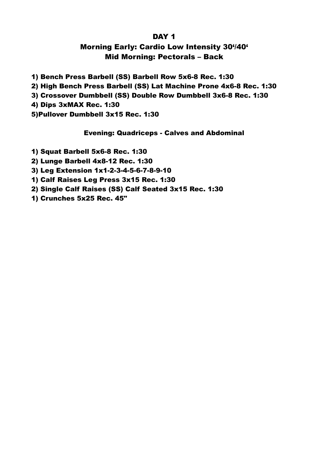#### DAY<sub>1</sub>

# Morning Early: Cardio Low Intensity 30'/40' Mid Morning: Pectorals – Back

1) Bench Press Barbell (SS) Barbell Row 5x6-8 Rec. 1:30 2) High Bench Press Barbell (SS) Lat Machine Prone 4x6-8 Rec. 1:30 3) Crossover Dumbbell (SS) Double Row Dumbbell 3x6-8 Rec. 1:30 4) Dips 3xMAX Rec. 1:30 5)Pullover Dumbbell 3x15 Rec. 1:30

#### Evening: Quadriceps - Calves and Abdominal

1) Squat Barbell 5x6-8 Rec. 1:30

2) Lunge Barbell 4x8-12 Rec. 1:30

3) Leg Extension 1x1-2-3-4-5-6-7-8-9-10

1) Calf Raises Leg Press 3x15 Rec. 1:30

2) Single Calf Raises (SS) Calf Seated 3x15 Rec. 1:30

1) Crunches 5x25 Rec. 45"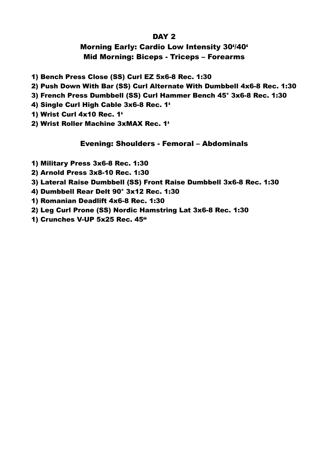### DAY<sub>2</sub>

# Morning Early: Cardio Low Intensity 30'/40' Mid Morning: Biceps - Triceps – Forearms

- 1) Bench Press Close (SS) Curl EZ 5x6-8 Rec. 1:30
- 2) Push Down With Bar (SS) Curl Alternate With Dumbbell 4x6-8 Rec. 1:30
- 3) French Press Dumbbell (SS) Curl Hammer Bench 45° 3x6-8 Rec. 1:30
- 4) Single Curl High Cable 3x6-8 Rec. 1'
- 1) Wrist Curl 4x10 Rec. 1'
- 2) Wrist Roller Machine 3xMAX Rec. 1'

## Evening: Shoulders - Femoral – Abdominals

- 1) Military Press 3x6-8 Rec. 1:30
- 2) Arnold Press 3x8-10 Rec. 1:30
- 3) Lateral Raise Dumbbell (SS) Front Raise Dumbbell 3x6-8 Rec. 1:30
- 4) Dumbbell Rear Delt 90° 3x12 Rec. 1:30
- 1) Romanian Deadlift 4x6-8 Rec. 1:30
- 2) Leg Curl Prone (SS) Nordic Hamstring Lat 3x6-8 Rec. 1:30
- 1) Crunches V-UP 5x25 Rec. 45"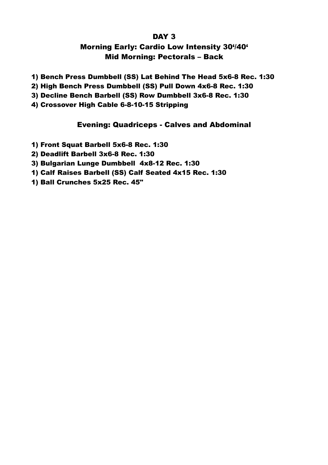### DAY<sub>3</sub>

# Morning Early: Cardio Low Intensity 30'/40' Mid Morning: Pectorals – Back

- 1) Bench Press Dumbbell (SS) Lat Behind The Head 5x6-8 Rec. 1:30
- 2) High Bench Press Dumbbell (SS) Pull Down 4x6-8 Rec. 1:30
- 3) Decline Bench Barbell (SS) Row Dumbbell 3x6-8 Rec. 1:30
- 4) Crossover High Cable 6-8-10-15 Stripping

## Evening: Quadriceps - Calves and Abdominal

- 1) Front Squat Barbell 5x6-8 Rec. 1:30
- 2) Deadlift Barbell 3x6-8 Rec. 1:30
- 3) Bulgarian Lunge Dumbbell 4x8-12 Rec. 1:30
- 1) Calf Raises Barbell (SS) Calf Seated 4x15 Rec. 1:30
- 1) Ball Crunches 5x25 Rec. 45"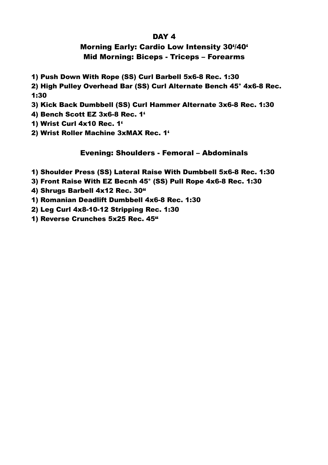#### DAY 4

## Morning Early: Cardio Low Intensity 30'/40' Mid Morning: Biceps - Triceps – Forearms

1) Push Down With Rope (SS) Curl Barbell 5x6-8 Rec. 1:30

2) High Pulley Overhead Bar (SS) Curl Alternate Bench 45° 4x6-8 Rec. 1:30

3) Kick Back Dumbbell (SS) Curl Hammer Alternate 3x6-8 Rec. 1:30

4) Bench Scott EZ 3x6-8 Rec. 1'

1) Wrist Curl 4x10 Rec. 1'

2) Wrist Roller Machine 3xMAX Rec. 1'

### Evening: Shoulders - Femoral – Abdominals

- 1) Shoulder Press (SS) Lateral Raise With Dumbbell 5x6-8 Rec. 1:30
- 3) Front Raise With EZ Becnh 45° (SS) Pull Rope 4x6-8 Rec. 1:30
- 4) Shrugs Barbell 4x12 Rec. 30"
- 1) Romanian Deadlift Dumbbell 4x6-8 Rec. 1:30

2) Leg Curl 4x8-10-12 Stripping Rec. 1:30

1) Reverse Crunches 5x25 Rec. 45"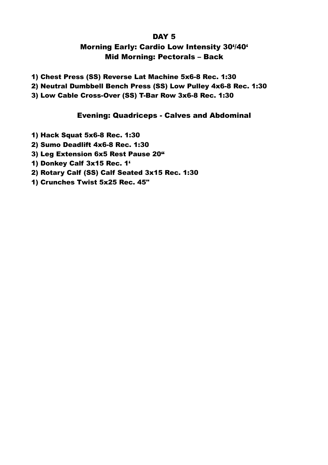### DAY<sub>5</sub>

# Morning Early: Cardio Low Intensity 30'/40' Mid Morning: Pectorals – Back

- 1) Chest Press (SS) Reverse Lat Machine 5x6-8 Rec. 1:30
- 2) Neutral Dumbbell Bench Press (SS) Low Pulley 4x6-8 Rec. 1:30
- 3) Low Cable Cross-Over (SS) T-Bar Row 3x6-8 Rec. 1:30

## Evening: Quadriceps - Calves and Abdominal

- 1) Hack Squat 5x6-8 Rec. 1:30
- 2) Sumo Deadlift 4x6-8 Rec. 1:30
- 3) Leg Extension 6x5 Rest Pause 20"
- 1) Donkey Calf 3x15 Rec. 1'
- 2) Rotary Calf (SS) Calf Seated 3x15 Rec. 1:30
- 1) Crunches Twist 5x25 Rec. 45"